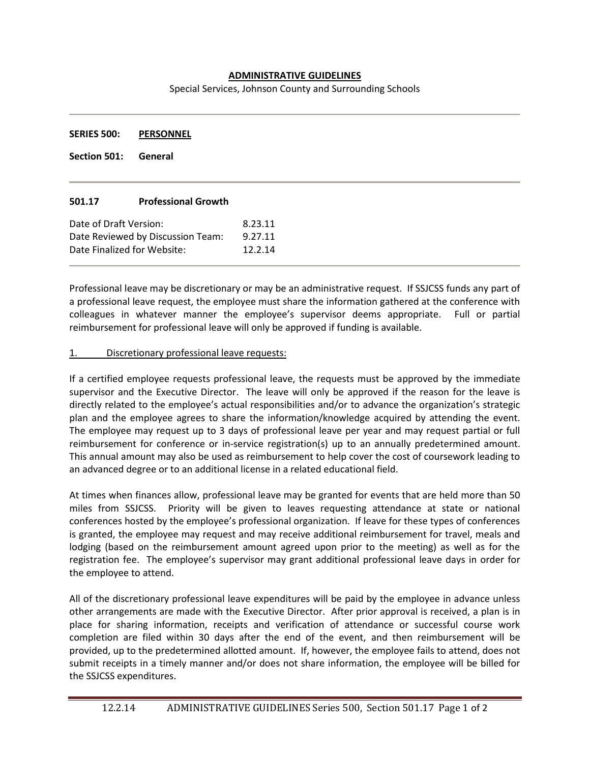## **ADMINISTRATIVE GUIDELINES**

Special Services, Johnson County and Surrounding Schools

**SERIES 500: PERSONNEL**

**Section 501: General**

## **501.17 Professional Growth**

| Date of Draft Version:            | 8.23.11 |
|-----------------------------------|---------|
| Date Reviewed by Discussion Team: | 9.27.11 |
| Date Finalized for Website:       | 12.2.14 |

Professional leave may be discretionary or may be an administrative request. If SSJCSS funds any part of a professional leave request, the employee must share the information gathered at the conference with colleagues in whatever manner the employee's supervisor deems appropriate. Full or partial reimbursement for professional leave will only be approved if funding is available.

## 1. Discretionary professional leave requests:

If a certified employee requests professional leave, the requests must be approved by the immediate supervisor and the Executive Director. The leave will only be approved if the reason for the leave is directly related to the employee's actual responsibilities and/or to advance the organization's strategic plan and the employee agrees to share the information/knowledge acquired by attending the event. The employee may request up to 3 days of professional leave per year and may request partial or full reimbursement for conference or in-service registration(s) up to an annually predetermined amount. This annual amount may also be used as reimbursement to help cover the cost of coursework leading to an advanced degree or to an additional license in a related educational field.

At times when finances allow, professional leave may be granted for events that are held more than 50 miles from SSJCSS. Priority will be given to leaves requesting attendance at state or national conferences hosted by the employee's professional organization. If leave for these types of conferences is granted, the employee may request and may receive additional reimbursement for travel, meals and lodging (based on the reimbursement amount agreed upon prior to the meeting) as well as for the registration fee. The employee's supervisor may grant additional professional leave days in order for the employee to attend.

All of the discretionary professional leave expenditures will be paid by the employee in advance unless other arrangements are made with the Executive Director. After prior approval is received, a plan is in place for sharing information, receipts and verification of attendance or successful course work completion are filed within 30 days after the end of the event, and then reimbursement will be provided, up to the predetermined allotted amount. If, however, the employee fails to attend, does not submit receipts in a timely manner and/or does not share information, the employee will be billed for the SSJCSS expenditures.